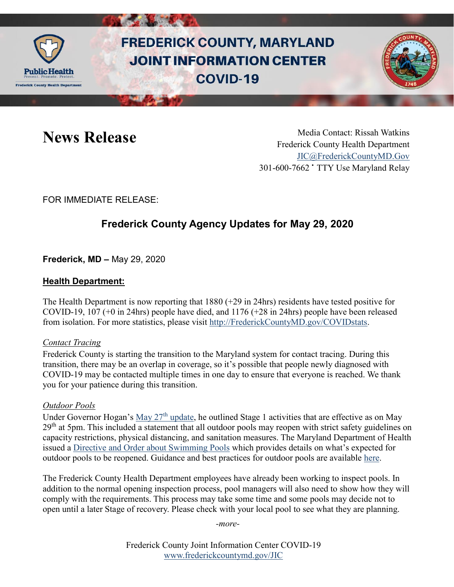

# **FREDERICK COUNTY, MARYLAND JOINT INFORMATION CENTER COVID-19**



News Release Media Contact: Rissah Watkins Frederick County Health Department [JIC@FrederickCountyMD.Gov](mailto:JIC@FrederickCountyMD.Gov) 301-600-7662 • TTY Use Maryland Relay

FOR IMMEDIATE RELEASE:

## **Frederick County Agency Updates for May 29, 2020**

**Frederick, MD –** May 29, 2020

### **Health Department:**

The Health Department is now reporting that 1880 (+29 in 24hrs) residents have tested positive for COVID-19, 107 (+0 in 24hrs) people have died, and 1176 (+28 in 24hrs) people have been released from isolation. For more statistics, please visit [http://FrederickCountyMD.gov/COVIDstats.](http://frederickcountymd.gov/COVIDstats)

#### *Contact Tracing*

Frederick County is starting the transition to the Maryland system for contact tracing. During this transition, there may be an overlap in coverage, so it's possible that people newly diagnosed with COVID-19 may be contacted multiple times in one day to ensure that everyone is reached. We thank you for your patience during this transition.

#### *Outdoor Pools*

Under Governor Hogan's May  $27<sup>th</sup>$  update, he outlined Stage 1 activities that are effective as on May 29<sup>th</sup> at 5pm. This included a statement that all outdoor pools may reopen with strict safety guidelines on capacity restrictions, physical distancing, and sanitation measures. The Maryland Department of Health issued a [Directive and Order about Swimming Pools](https://phpa.health.maryland.gov/Documents/2020.05.27.01%20-%20MDH%20Order%20-%20Pools%20Order.pdf) which provides details on what's expected for outdoor pools to be reopened. Guidance and best practices for outdoor pools are available [here.](https://commerce.maryland.gov/Documents/BusinessResource/Swimming-Pools-COVID-19-Directives.pdf)

The Frederick County Health Department employees have already been working to inspect pools. In addition to the normal opening inspection process, pool managers will also need to show how they will comply with the requirements. This process may take some time and some pools may decide not to open until a later Stage of recovery. Please check with your local pool to see what they are planning.

*-more-*

Frederick County Joint Information Center COVID-19 [www.frederickcountymd.gov/JIC](https://frederickcountymd.gov/JIC)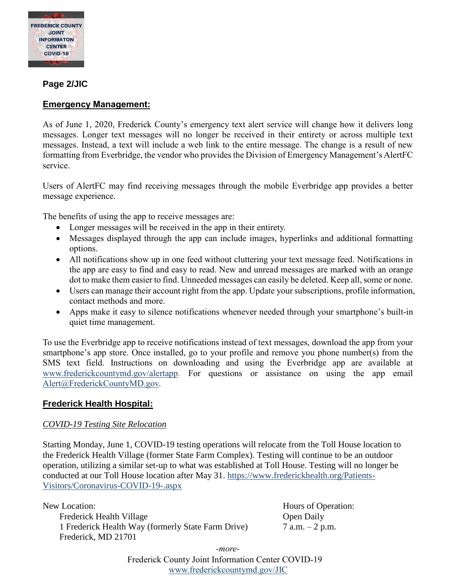

#### **Page 2/JIC**

#### **Emergency Management:**

As of June 1, 2020, Frederick County's emergency text alert service will change how it delivers long messages. Longer text messages will no longer be received in their entirety or across multiple text messages. Instead, a text will include a web link to the entire message. The change is a result of new formatting from Everbridge, the vendor who provides the Division of Emergency Management's AlertFC service.

Users of AlertFC may find receiving messages through the mobile Everbridge app provides a better message experience.

The benefits of using the app to receive messages are:

- Longer messages will be received in the app in their entirety.
- Messages displayed through the app can include images, hyperlinks and additional formatting options.
- All notifications show up in one feed without cluttering your text message feed. Notifications in the app are easy to find and easy to read. New and unread messages are marked with an orange dot to make them easier to find. Unneeded messages can easily be deleted. Keep all, some or none.
- Users can manage their account right from the app. Update your subscriptions, profile information, contact methods and more.
- Apps make it easy to silence notifications whenever needed through your smartphone's built-in quiet time management.

To use the Everbridge app to receive notifications instead of text messages, download the app from your smartphone's app store. Once installed, go to your profile and remove you phone number(s) from the SMS text field. Instructions on downloading and using the Everbridge app are available at [www.frederickcountymd.gov/alertapp.](http://www.frederickcountymd.gov/alertapp) For questions or assistance on using the app email [Alert@FrederickCountyMD.gov.](mailto:Alert@FrederickCountyMD.gov)

#### **Frederick Health Hospital:**

#### *COVID-19 Testing Site Relocation*

Starting Monday, June 1, COVID-19 testing operations will relocate from the Toll House location to the Frederick Health Village (former State Farm Complex). Testing will continue to be an outdoor operation, utilizing a similar set-up to what was established at Toll House. Testing will no longer be conducted at our Toll House location after May 31. [https://www.frederickhealth.org/Patients-](https://www.frederickhealth.org/Patients-Visitors/Coronavirus-COVID-19-.aspx)[Visitors/Coronavirus-COVID-19-.aspx](https://www.frederickhealth.org/Patients-Visitors/Coronavirus-COVID-19-.aspx)

New Location: Hours of Operation: Frederick Health Village Open Daily 1 Frederick Health Way (formerly State Farm Drive) 7 a.m. – 2 p.m. Frederick, MD 21701

Frederick County Joint Information Center COVID-19 [www.frederickcountymd.gov/JIC](https://frederickcountymd.gov/JIC) *-more-*